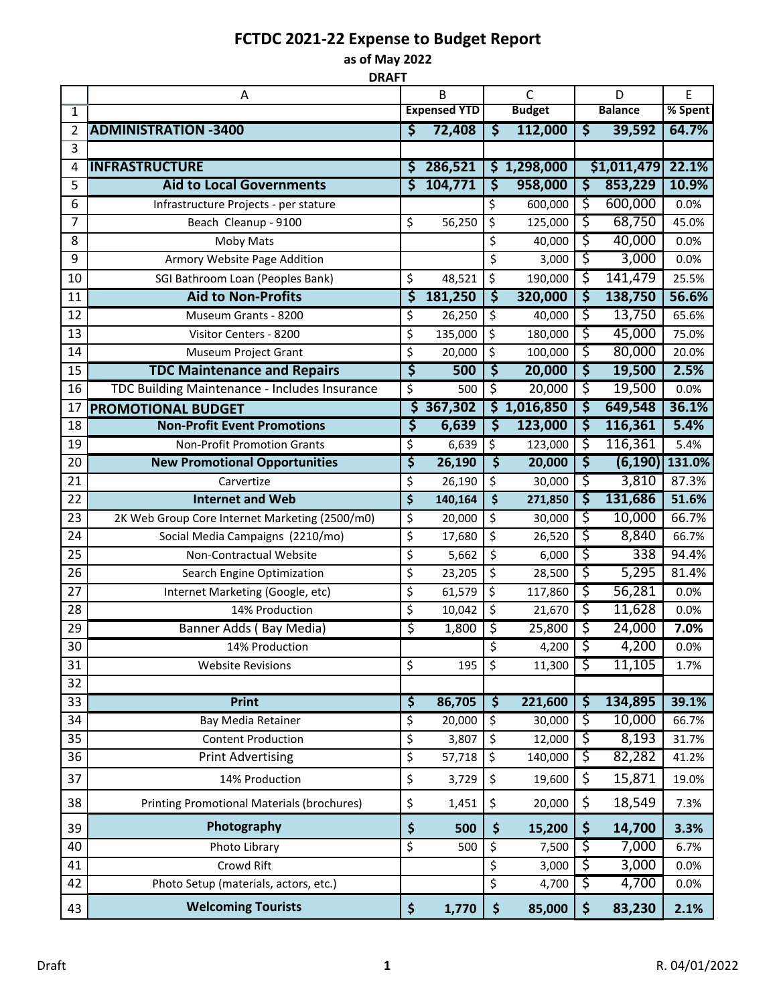## **FCTDC 2021-22 Expense to Budget Report**

**as of May 2022 DRAFT**

|                | A                                                 | B                        |         | C                        |           | D              |             | E                  |
|----------------|---------------------------------------------------|--------------------------|---------|--------------------------|-----------|----------------|-------------|--------------------|
| 1              |                                                   | <b>Expensed YTD</b>      |         | <b>Budget</b>            |           | <b>Balance</b> |             | % Spent            |
| 2              | <b>ADMINISTRATION -3400</b>                       | \$                       | 72,408  | \$                       | 112,000   | \$             | 39,592      | 64.7%              |
| $\overline{3}$ |                                                   |                          |         |                          |           |                |             |                    |
| 4              | <b>INFRASTRUCTURE</b>                             | \$                       | 286,521 | \$                       | 1,298,000 |                | \$1,011,479 | 22.1%              |
| 5              | <b>Aid to Local Governments</b>                   | Ś                        | 104,771 | <u> इ</u>                | 958,000   | ड़             | 853,229     | 10.9%              |
| 6              | Infrastructure Projects - per stature             |                          |         | \$                       | 600,000   | ड़             | 600,000     | 0.0%               |
| 7              | Beach Cleanup - 9100                              | \$                       | 56,250  | \$                       | 125,000   | ड़             | 68,750      | 45.0%              |
| 8              | Moby Mats                                         |                          |         | \$                       | 40,000    | ड़             | 40,000      | 0.0%               |
| 9              | Armory Website Page Addition                      |                          |         | \$                       | 3,000     | ड़             | 3,000       | 0.0%               |
| 10             | SGI Bathroom Loan (Peoples Bank)                  | \$                       | 48,521  | \$                       | 190,000   | \$             | 141,479     | 25.5%              |
| 11             | <b>Aid to Non-Profits</b>                         | \$                       | 181,250 | ड़                       | 320,000   | \$             | 138,750     | 56.6%              |
| 12             | Museum Grants - 8200                              | \$                       | 26,250  | \$                       | 40,000    | ड़             | 13,750      | 65.6%              |
| 13             | Visitor Centers - 8200                            | \$                       | 135,000 | \$                       | 180,000   | \$             | 45,000      | 75.0%              |
| 14             | Museum Project Grant                              | \$                       | 20,000  | \$                       | 100,000   | \$             | 80,000      | 20.0%              |
| 15             | <b>TDC Maintenance and Repairs</b>                | \$                       | 500     | ड़                       | 20,000    | ड़             | 19,500      | 2.5%               |
| 16             | TDC Building Maintenance - Includes Insurance     | $\overline{\mathcal{S}}$ | 500     | \$                       | 20,000    | ड़             | 19,500      | 0.0%               |
| 17             | <b>PROMOTIONAL BUDGET</b>                         | ड़                       | 367,302 | \$                       | 1,016,850 | ड़             | 649,548     | 36.1%              |
| 18             | <b>Non-Profit Event Promotions</b>                | \$                       | 6,639   | \$                       | 123,000   | \$             | 116,361     | 5.4%               |
| 19             | <b>Non-Profit Promotion Grants</b>                | \$                       | 6,639   | \$                       | 123,000   | ड़             | 116,361     | 5.4%               |
| 20             | <b>New Promotional Opportunities</b>              | \$                       | 26,190  | $\overline{\mathsf{S}}$  | 20,000    | ड़             |             | $(6,190)$   131.0% |
| 21             | Carvertize                                        | \$                       | 26,190  | \$                       | 30,000    | ड़             | 3,810       | 87.3%              |
| 22             | <b>Internet and Web</b>                           | \$                       | 140,164 | \$                       | 271,850   | ड़             | 131,686     | 51.6%              |
| 23             | 2K Web Group Core Internet Marketing (2500/m0)    | \$                       | 20,000  | \$                       | 30,000    | ड़             | 10,000      | 66.7%              |
| 24             | Social Media Campaigns (2210/mo)                  | \$                       | 17,680  | \$                       | 26,520    | ड़             | 8,840       | 66.7%              |
| 25             | Non-Contractual Website                           | \$                       | 5,662   | \$                       | 6,000     | ड़             | 338         | 94.4%              |
| 26             | Search Engine Optimization                        | \$                       | 23,205  | \$                       | 28,500    | ड़             | 5,295       | 81.4%              |
| 27             | Internet Marketing (Google, etc)                  | \$                       | 61,579  | \$                       | 117,860   | ड़             | 56,281      | 0.0%               |
| 28             | 14% Production                                    | \$                       | 10,042  | \$                       | 21,670    | ड़             | 11,628      | 0.0%               |
| 29             | Banner Adds (Bay Media)                           | \$                       | 1,800   | \$                       | 25,800    | ड़             | 24,000      | 7.0%               |
| 30             | 14% Production                                    |                          |         | $\overline{\mathsf{s}}$  | 4,200     | ऽ              | 4,200       | 0.0%               |
| 31             | <b>Website Revisions</b>                          | $\overline{\mathcal{S}}$ | 195     | \$                       | 11,300    | ड़             | 11,105      | 1.7%               |
| 32             |                                                   |                          |         |                          |           |                |             |                    |
| 33             | <b>Print</b>                                      | \$                       | 86,705  | $\overline{\mathsf{s}}$  | 221,600   | \$             | 134,895     | 39.1%              |
| 34             | Bay Media Retainer                                | \$                       | 20,000  | $\overline{\mathcal{S}}$ | 30,000    | ड़             | 10,000      | 66.7%              |
| 35             | <b>Content Production</b>                         | \$                       | 3,807   | \$                       | 12,000    | ड़             | 8,193       | 31.7%              |
| 36             | <b>Print Advertising</b>                          | \$                       | 57,718  | \$                       | 140,000   | ड़             | 82,282      | 41.2%              |
| 37             | 14% Production                                    | \$                       | 3,729   | \$                       | 19,600    | \$             | 15,871      | 19.0%              |
| 38             | <b>Printing Promotional Materials (brochures)</b> | \$                       | 1,451   | \$                       | 20,000    | \$             | 18,549      | 7.3%               |
| 39             | Photography                                       | \$                       | 500     | \$                       | 15,200    | \$             | 14,700      | 3.3%               |
| 40             | Photo Library                                     | $\overline{\xi}$         | 500     | $\overline{\mathcal{S}}$ | 7,500     | ड़             | 7,000       | 6.7%               |
| 41             | Crowd Rift                                        |                          |         | \$                       | 3,000     | \$             | 3,000       | 0.0%               |
| 42             | Photo Setup (materials, actors, etc.)             |                          |         | \$                       | 4,700     | \$             | 4,700       | 0.0%               |
| 43             | <b>Welcoming Tourists</b>                         | \$                       | 1,770   | \$                       | 85,000    | \$             | 83,230      | 2.1%               |